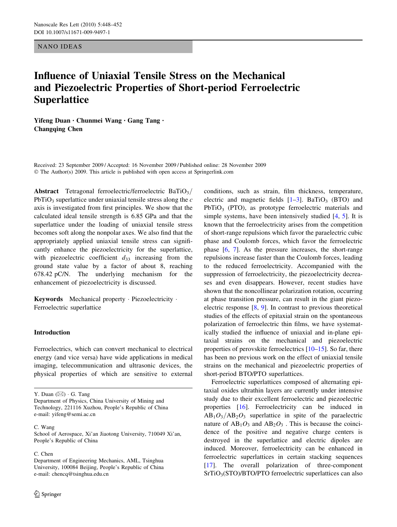NANO IDEAS

# Influence of Uniaxial Tensile Stress on the Mechanical and Piezoelectric Properties of Short-period Ferroelectric **Superlattice**

Yifeng Duan • Chunmei Wang • Gang Tang • Changqing Chen

Received: 23 September 2009 / Accepted: 16 November 2009 / Published online: 28 November 2009  $\odot$  The Author(s) 2009. This article is published with open access at Springerlink.com

Abstract Tetragonal ferroelectric/ferroelectric BaTiO<sub>3</sub>/ PbTiO<sub>3</sub> superlattice under uniaxial tensile stress along the  $c$ axis is investigated from first principles. We show that the calculated ideal tensile strength is 6.85 GPa and that the superlattice under the loading of uniaxial tensile stress becomes soft along the nonpolar axes. We also find that the appropriately applied uniaxial tensile stress can significantly enhance the piezoelectricity for the superlattice, with piezoelectric coefficient  $d_{33}$  increasing from the ground state value by a factor of about 8, reaching 678.42 pC/N. The underlying mechanism for the enhancement of piezoelectricity is discussed.

Keywords Mechanical property · Piezoelectricity · Ferroelectric superlattice

# Introduction

Ferroelectrics, which can convert mechanical to electrical energy (and vice versa) have wide applications in medical imaging, telecommunication and ultrasonic devices, the physical properties of which are sensitive to external

Y. Duan  $(\boxtimes) \cdot G$ . Tang

Department of Physics, China University of Mining and Technology, 221116 Xuzhou, People's Republic of China e-mail: yifeng@semi.ac.cn

C. Wang

#### C. Chen

conditions, such as strain, film thickness, temperature, electric and magnetic fields  $[1-3]$ . BaTiO<sub>3</sub> (BTO) and  $PbTiO<sub>3</sub>$  (PTO), as prototype ferroelectric materials and simple systems, have been intensively studied [\[4](#page-4-0), [5\]](#page-4-0). It is known that the ferroelectricity arises from the competition of short-range repulsions which favor the paraelectric cubic phase and Coulomb forces, which favor the ferroelectric phase [\[6](#page-4-0), [7\]](#page-4-0). As the pressure increases, the short-range repulsions increase faster than the Coulomb forces, leading to the reduced ferroelectricity. Accompanied with the suppression of ferroelectricity, the piezoelectricity decreases and even disappears. However, recent studies have shown that the noncollinear polarization rotation, occurring at phase transition pressure, can result in the giant piezoelectric response [[8,](#page-4-0) [9\]](#page-4-0). In contrast to previous theoretical studies of the effects of epitaxial strain on the spontaneous polarization of ferroelectric thin films, we have systematically studied the influence of uniaxial and in-plane epitaxial strains on the mechanical and piezoelectric properties of perovskite ferroelectrics [\[10–15\]](#page-4-0). So far, there has been no previous work on the effect of uniaxial tensile strains on the mechanical and piezoelectric properties of short-period BTO/PTO superlattices.

Ferroelectric superlattices composed of alternating epitaxial oxides ultrathin layers are currently under intensive study due to their excellent ferroelectric and piezoelectric properties [[16\]](#page-4-0). Ferroelectricity can be induced in  $AB_1O_3/AB_2O_3$  superlattice in spite of the paraelectric nature of  $AB_1O_3$  and  $AB_2O_3$ . This is because the coincidence of the positive and negative charge centers is destroyed in the superlattice and electric dipoles are induced. Moreover, ferroelectricity can be enhanced in ferroelectric superlattices in certain stacking sequences [\[17](#page-4-0)]. The overall polarization of three-component  $SrTiO<sub>3</sub>(STO)/BTO/PTO$  ferroelectric superlattices can also

School of Aerospace, Xi'an Jiaotong University, 710049 Xi'an, People's Republic of China

Department of Engineering Mechanics, AML, Tsinghua University, 100084 Beijing, People's Republic of China e-mail: chencq@tsinghua.edu.cn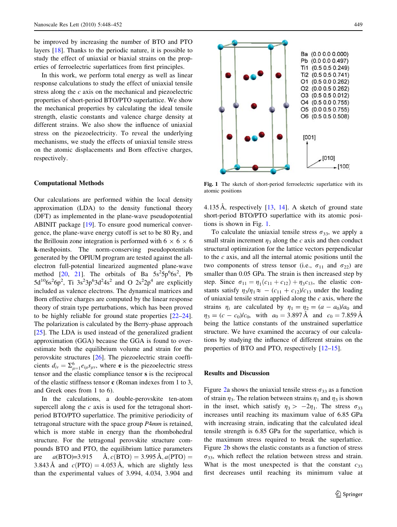be improved by increasing the number of BTO and PTO layers [[18\]](#page-4-0). Thanks to the periodic nature, it is possible to study the effect of uniaxial or biaxial strains on the properties of ferroelectric superlattices from first principles.

In this work, we perform total energy as well as linear response calculations to study the effect of uniaxial tensile stress along the c axis on the mechanical and piezoelectric properties of short-period BTO/PTO superlattice. We show the mechanical properties by calculating the ideal tensile strength, elastic constants and valence charge density at different strains. We also show the influence of uniaxial stress on the piezoelectricity. To reveal the underlying mechanisms, we study the effects of uniaxial tensile stress on the atomic displacements and Born effective charges, respectively.

# Computational Methods

Our calculations are performed within the local density approximation (LDA) to the density functional theory (DFT) as implemented in the plane-wave pseudopotential ABINIT package [[19\]](#page-4-0). To ensure good numerical convergence, the plane-wave energy cutoff is set to be 80 Ry, and the Brillouin zone integration is performed with  $6 \times 6 \times 6$ k-meshpoints. The norm-conserving pseudopotentials generated by the OPIUM program are tested against the allelectron full-potential linearized augmented plane-wave method [[20,](#page-4-0) [21\]](#page-4-0). The orbitals of Ba  $5s^25p^66s^2$ , Pb  $5d^{10}6s^26p^2$ , Ti  $3s^23p^63d^24s^2$  and O  $2s^22p^4$  are explicitly included as valence electrons. The dynamical matrices and Born effective charges are computed by the linear response theory of strain type perturbations, which has been proved to be highly reliable for ground state properties [\[22–24](#page-4-0)]. The polarization is calculated by the Berry-phase approach [\[25](#page-4-0)]. The LDA is used instead of the generalized gradient approximation (GGA) because the GGA is found to overestimate both the equilibrium volume and strain for the perovskite structures [[26\]](#page-4-0). The piezoelectric strain coefficients  $d_{iv} = \sum_{\mu=1}^{6} e_{i\mu} s_{\mu\nu}$ , where **e** is the piezoelectric stress tensor and the elastic compliance tensor s is the reciprocal of the elastic stiffness tensor c (Roman indexes from 1 to 3, and Greek ones from 1 to 6).

In the calculations, a double-perovskite ten-atom supercell along the  $c$  axis is used for the tetragonal shortperiod BTO/PTO superlattice. The primitive periodicity of tetragonal structure with the space group P4mm is retained, which is more stable in energy than the rhombohedral structure. For the tetragonal perovskite structure compounds BTO and PTO, the equilibrium lattice parameters are  $a(BTO)=3.915 \text{ Å}, c(BTO)=3.995 \text{ Å}, a(PTO) =$ 3.843 Å and  $c(PTO) = 4.053$  Å, which are slightly less than the experimental values of 3.994, 4.034, 3.904 and



Fig. 1 The sketch of short-period ferroelectric superlattice with its atomic positions

4.135 Å, respectively  $[13, 14]$  $[13, 14]$  $[13, 14]$  $[13, 14]$ . A sketch of ground state short-period BTO/PTO superlattice with its atomic positions is shown in Fig. 1.

To calculate the uniaxial tensile stress  $\sigma_{33}$ , we apply a small strain increment  $\eta_3$  along the c axis and then conduct structural optimization for the lattice vectors perpendicular to the c axis, and all the internal atomic positions until the two components of stress tensor (i.e.,  $\sigma_{11}$  and  $\sigma_{22}$ ) are smaller than 0.05 GPa. The strain is then increased step by step. Since  $\sigma_{11} = \eta_1(c_{11} + c_{12}) + \eta_3c_{13}$ , the elastic constants satisfy  $\eta_3/\eta_1 \approx - (c_{11} + c_{12})/c_{13}$  under the loading of uniaxial tensile strain applied along the  $c$  axis, where the strains  $\eta_i$  are calculated by  $\eta_1 = \eta_2 = (a - a_0)/a_0$  and  $\eta_3 = (c - c_0)/c_0$ , with  $a_0 = 3.897 \text{ Å}$  and  $c_0 = 7.859 \text{ Å}$ being the lattice constants of the unstrained superlattice structure. We have examined the accuracy of our calculations by studying the influence of different strains on the properties of BTO and PTO, respectively [[12–15\]](#page-4-0).

#### Results and Discussion

Figure [2](#page-2-0)a shows the uniaxial tensile stress  $\sigma_{33}$  as a function of strain  $\eta_3$ . The relation between strains  $\eta_1$  and  $\eta_3$  is shown in the inset, which satisfy  $\eta_3$  > -2 $\eta_1$ . The stress  $\sigma_{33}$ increases until reaching its maximum value of 6.85 GPa with increasing strain, indicating that the calculated ideal tensile strength is 6.85 GPa for the superlattice, which is the maximum stress required to break the superlattice. Figure [2](#page-2-0)b shows the elastic constants as a function of stress  $\sigma_{33}$ , which reflect the relation between stress and strain. What is the most unexpected is that the constant  $c_{33}$ first decreases until reaching its minimum value at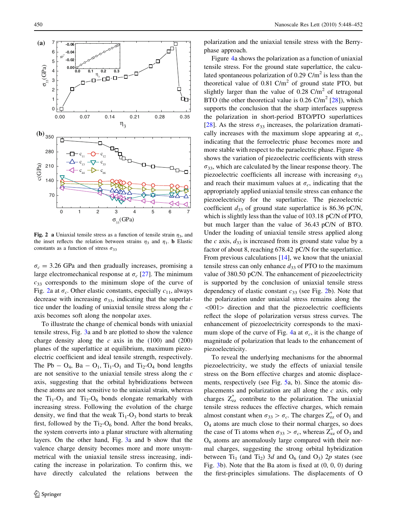<span id="page-2-0"></span>

Fig. 2 a Uniaxial tensile stress as a function of tensile strain  $\eta_3$ , and the inset reflects the relation between strains  $\eta_3$  and  $\eta_1$ . **b** Elastic constants as a function of stress  $\sigma_{33}$ 

 $\sigma_c = 3.26$  GPa and then gradually increases, promising a large electromechanical response at  $\sigma_c$  [[27\]](#page-4-0). The minimum  $c_{33}$  corresponds to the minimum slope of the curve of Fig. 2a at  $\sigma_c$ . Other elastic constants, especially  $c_{11}$ , always decrease with increasing  $\sigma_{33}$ , indicating that the superlattice under the loading of uniaxial tensile stress along the c axis becomes soft along the nonpolar axes.

To illustrate the change of chemical bonds with uniaxial tensile stress, Fig. [3](#page-3-0)a and b are plotted to show the valence charge density along the  $c$  axis in the (100) and (200) planes of the superlattice at equilibrium, maximum piezoelectric coefficient and ideal tensile strength, respectively. The Pb  $-$  O<sub>4</sub>, Ba  $-$  O<sub>1</sub>, T<sub>1</sub><sup>-O<sub>1</sub></sub> and T<sub>1<sup>2</sub>-O<sub>4</sub></sub> bond lengths</sup></sub></sup> are not sensitive to the uniaxial tensile stress along the  $c$ axis, suggesting that the orbital hybridizations between these atoms are not sensitive to the uniaxial strain, whereas the  $Ti_1-O_3$  and  $Ti_2-O_6$  bonds elongate remarkably with increasing stress. Following the evolution of the charge density, we find that the weak  $Ti<sub>1</sub>-O<sub>3</sub>$  bond starts to break first, followed by the  $Ti_2-O_6$  bond. After the bond breaks, the system converts into a planar structure with alternating layers. On the other hand, Fig. [3a](#page-3-0) and b show that the valence charge density becomes more and more unsymmetrical with the uniaxial tensile stress increasing, indicating the increase in polarization. To confirm this, we have directly calculated the relations between the

polarization and the uniaxial tensile stress with the Berryphase approach.

Figure [4a](#page-3-0) shows the polarization as a function of uniaxial tensile stress. For the ground state superlattice, the calculated spontaneous polarization of 0.29  $C/m^2$  is less than the theoretical value of  $0.81$  C/m<sup>2</sup> of ground state PTO, but slightly larger than the value of  $0.28$  C/m<sup>2</sup> of tetragonal BTO (the other theoretical value is  $0.26 \text{ C/m}^2$  [[28\]](#page-4-0)), which supports the conclusion that the sharp interfaces suppress the polarization in short-period BTO/PTO superlattices [\[28](#page-4-0)]. As the stress  $\sigma_{33}$  increases, the polarization dramatically increases with the maximum slope appearing at  $\sigma_c$ , indicating that the ferroelectric phase becomes more and more stable with respect to the paraelectric phase. Figure [4](#page-3-0)b shows the variation of piezoelectric coefficients with stress  $\sigma_{33}$ , which are calculated by the linear response theory. The piezoelectric coefficients all increase with increasing  $\sigma_{33}$ and reach their maximum values at  $\sigma_c$ , indicating that the appropriately applied uniaxial tensile stress can enhance the piezoelectricity for the superlattice. The piezoelectric coefficient  $d_{33}$  of ground state superlattice is 86.36 pC/N, which is slightly less than the value of 103.18 pC/N of PTO, but much larger than the value of 36.43 pC/N of BTO. Under the loading of uniaxial tensile stress applied along the c axis,  $d_{33}$  is increased from its ground state value by a factor of about 8, reaching 678.42 pC/N for the superlattice. From previous calculations  $[14]$  $[14]$  $[14]$ , we know that the uniaxial tensile stress can only enhance  $d_{33}$  of PTO to the maximum value of 380.50 pC/N. The enhancement of piezoelectricity is supported by the conclusion of uniaxial tensile stress dependency of elastic constant  $c_{33}$  (see Fig. 2b). Note that the polarization under uniaxial stress remains along the  $\langle 001 \rangle$  direction and that the piezoelectric coefficients reflect the slope of polarization versus stress curves. The enhancement of piezoelectricity corresponds to the maxi-mum slope of the curve of Fig. [4](#page-3-0)a at  $\sigma_c$ , it is the change of magnitude of polarization that leads to the enhancement of piezoelectricity.

To reveal the underlying mechanisms for the abnormal piezoelectricity, we study the effects of uniaxial tensile stress on the Born effective charges and atomic displacements, respectively (see Fig. [5a](#page-3-0), b). Since the atomic displacements and polarization are all along the  $c$  axis, only charges  $Z_{zz}^*$  contribute to the polarization. The uniaxial tensile stress reduces the effective charges, which remain almost constant when  $\sigma_{33} > \sigma_c$ . The charges  $Z_{zz}^*$  of  $O_1$  and  $O<sub>4</sub>$  atoms are much close to their normal charges, so does the case of Ti atoms when  $\sigma_{33} > \sigma_c$ , whereas  $Z_{zz}^*$  of  $O_3$  and  $O<sub>6</sub>$  atoms are anomalously large compared with their normal charges, suggesting the strong orbital hybridization between  $Ti_1$  (and  $Ti_2$ ) 3d and  $O_6$  (and  $O_3$ ) 2p states (see Fig. [3](#page-3-0)b). Note that the Ba atom is fixed at (0, 0, 0) during the first-principles simulations. The displacements of O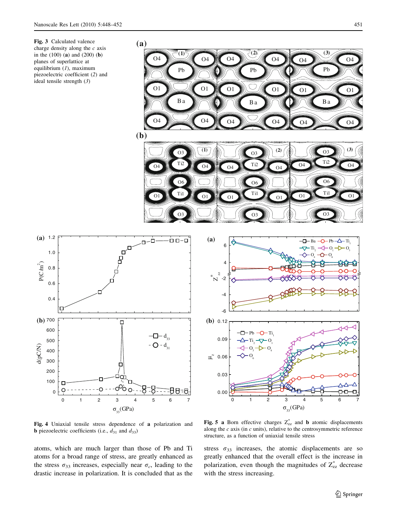<span id="page-3-0"></span>

Fig. 4 Uniaxial tensile stress dependence of a polarization and **b** piezoelectric coefficients (i.e.,  $d_{31}$  and  $d_{33}$ )

atoms, which are much larger than those of Pb and Ti atoms for a broad range of stress, are greatly enhanced as the stress  $\sigma_{33}$  increases, especially near  $\sigma_c$ , leading to the drastic increase in polarization. It is concluded that as the

Fig. 5 a Born effective charges  $Z_{zz}^{*}$  and b atomic displacements along the  $c$  axis (in  $c$  units), relative to the centrosymmetric reference structure, as a function of uniaxial tensile stress

stress  $\sigma_{33}$  increases, the atomic displacements are so greatly enhanced that the overall effect is the increase in polarization, even though the magnitudes of  $Z_{zz}^{*}$  decrease with the stress increasing.